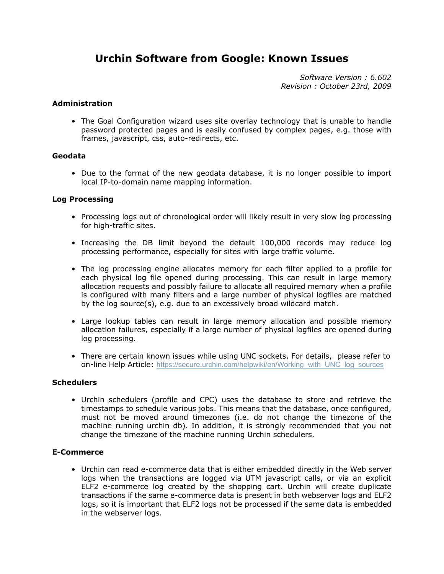# **Urchin Software from Google: Known Issues**

*Software Version : 6.602 Revision : October 23rd, 2009*

## **Administration**

• The Goal Configuration wizard uses site overlay technology that is unable to handle password protected pages and is easily confused by complex pages, e.g. those with frames, javascript, css, auto-redirects, etc.

## **Geodata**

• Due to the format of the new geodata database, it is no longer possible to import local IP-to-domain name mapping information.

### **Log Processing**

- Processing logs out of chronological order will likely result in very slow log processing for high-traffic sites.
- Increasing the DB limit beyond the default 100,000 records may reduce log processing performance, especially for sites with large traffic volume.
- The log processing engine allocates memory for each filter applied to a profile for each physical log file opened during processing. This can result in large memory allocation requests and possibly failure to allocate all required memory when a profile is configured with many filters and a large number of physical logfiles are matched by the log source(s), e.g. due to an excessively broad wildcard match.
- Large lookup tables can result in large memory allocation and possible memory allocation failures, especially if a large number of physical logfiles are opened during log processing.
- There are certain known issues while using UNC sockets. For details, please refer to on-line Help Article: [https://secure.urchin.com/helpwiki/en/Working\\_with\\_UNC\\_log\\_sources](https://secure.urchin.com/helpwiki/en/Working_with_UNC_log_sources)

#### **Schedulers**

• Urchin schedulers (profile and CPC) uses the database to store and retrieve the timestamps to schedule various jobs. This means that the database, once configured, must not be moved around timezones (i.e. do not change the timezone of the machine running urchin db). In addition, it is strongly recommended that you not change the timezone of the machine running Urchin schedulers.

#### **E-Commerce**

• Urchin can read e-commerce data that is either embedded directly in the Web server logs when the transactions are logged via UTM javascript calls, or via an explicit ELF2 e-commerce log created by the shopping cart. Urchin will create duplicate transactions if the same e-commerce data is present in both webserver logs and ELF2 logs, so it is important that ELF2 logs not be processed if the same data is embedded in the webserver logs.